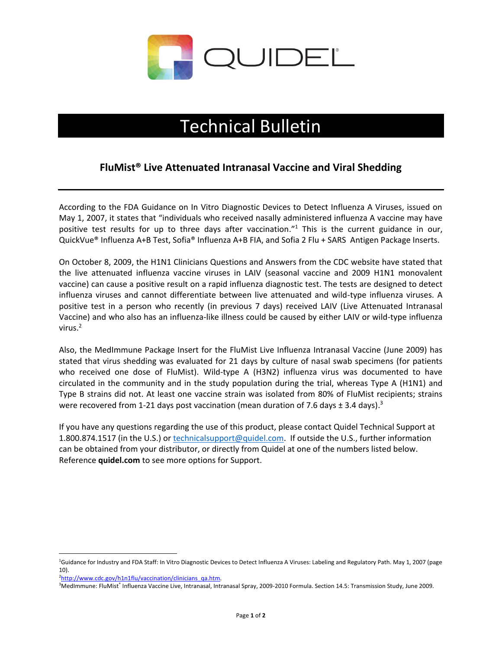

## Technical Bulletin

## **FluMist® Live Attenuated Intranasal Vaccine and Viral Shedding**

According to the FDA Guidance on In Vitro Diagnostic Devices to Detect Influenza A Viruses, issued on May 1, 2007, it states that "individuals who received nasally administered influenza A vaccine may have positive test results for up to three days after vaccination."<sup>1</sup> This is the current guidance in our, QuickVue® Influenza A+B Test, Sofia® Influenza A+B FIA, and Sofia 2 Flu + SARS Antigen Package Inserts.

On October 8, 2009, the H1N1 Clinicians Questions and Answers from the CDC website have stated that the live attenuated influenza vaccine viruses in LAIV (seasonal vaccine and 2009 H1N1 monovalent vaccine) can cause a positive result on a rapid influenza diagnostic test. The tests are designed to detect influenza viruses and cannot differentiate between live attenuated and wild-type influenza viruses. A positive test in a person who recently (in previous 7 days) received LAIV (Live Attenuated Intranasal Vaccine) and who also has an influenza-like illness could be caused by either LAIV or wild-type influenza virus. 2

Also, the MedImmune Package Insert for the FluMist Live Influenza Intranasal Vaccine (June 2009) has stated that virus shedding was evaluated for 21 days by culture of nasal swab specimens (for patients who received one dose of FluMist). Wild-type A (H3N2) influenza virus was documented to have circulated in the community and in the study population during the trial, whereas Type A (H1N1) and Type B strains did not. At least one vaccine strain was isolated from 80% of FluMist recipients; strains were recovered from 1-21 days post vaccination (mean duration of 7.6 days  $\pm$  3.4 days).<sup>3</sup>

If you have any questions regarding the use of this product, please contact Quidel Technical Support at 1.800.874.1517 (in the U.S.) or [technicalsupport@quidel.com.](mailto:technicalsupport@quidel.com) If outside the U.S., further information can be obtained from your distributor, or directly from Quidel at one of the numbers listed below. Reference **quidel.com** to see more options for Support.

<sup>&</sup>lt;sup>1</sup>Guidance for Industry and FDA Staff: In Vitro Diagnostic Devices to Detect Influenza A Viruses: Labeling and Regulatory Path. May 1, 2007 (page 10).

<sup>&</sup>lt;sup>2</sup>[http://www.cdc.gov/h1n1flu/vaccination/clinicians\\_qa.htm.](http://www.cdc.gov/h1n1flu/vaccination/clinicians_qa.htm)

<sup>&</sup>lt;sup>3</sup>MedImmune: FluMist<sup>®</sup> Influenza Vaccine Live, Intranasal, Intranasal Spray, 2009-2010 Formula. Section 14.5: Transmission Study, June 2009.